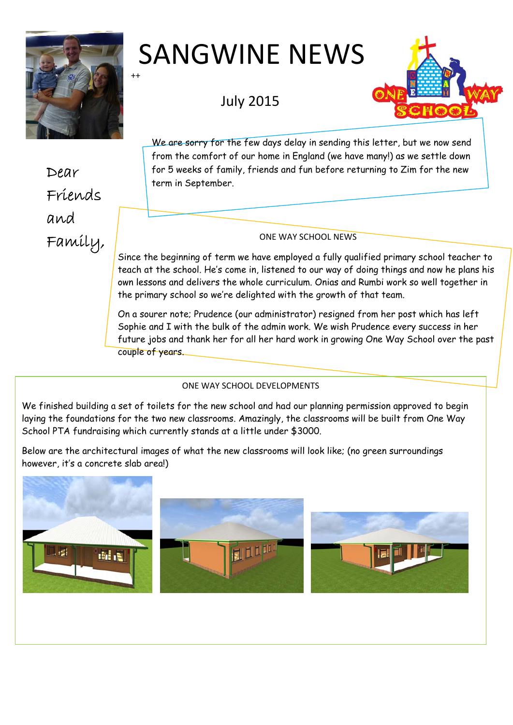

# ++ SANGWINE NEWS

July 2015



We are sorry for the few days delay in sending this letter, but we now send from the comfort of our home in England (we have many!) as we settle down for 5 weeks of family, friends and fun before returning to Zim for the new term in September.

## $Family,$

Since the beginning of term we have employed a fully qualified primary school teacher to teach at the school. He's come in, listened to our way of doing things and now he plans his own lessons and delivers the whole curriculum. Onias and Rumbi work so well together in the primary school so we're delighted with the growth of that team.

On a sourer note; Prudence (our administrator) resigned from her post which has left Sophie and I with the bulk of the admin work. We wish Prudence every success in her future jobs and thank her for all her hard work in growing One Way School over the past couple of years.

### ONE WAY SCHOOL DEVELOPMENTS

We finished building a set of toilets for the new school and had our planning permission approved to begin laying the foundations for the two new classrooms. Amazingly, the classrooms will be built from One Way School PTA fundraising which currently stands at a little under \$3000.

Below are the architectural images of what the new classrooms will look like; (no green surroundings however, it's a concrete slab area!)



Dear Friends and